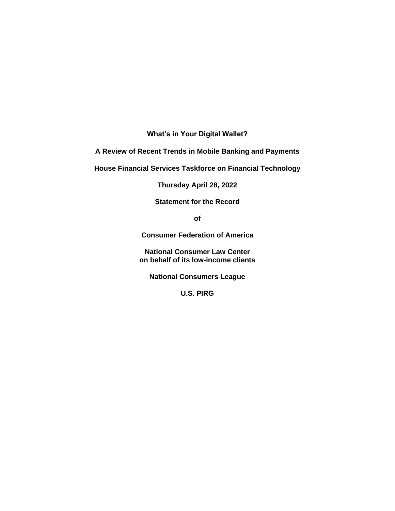**What's in Your Digital Wallet?** 

**A Review of Recent Trends in Mobile Banking and Payments**

**House Financial Services Taskforce on Financial Technology**

**Thursday April 28, 2022**

**Statement for the Record**

**of**

**Consumer Federation of America**

**National Consumer Law Center on behalf of its low-income clients**

**National Consumers League** 

**U.S. PIRG**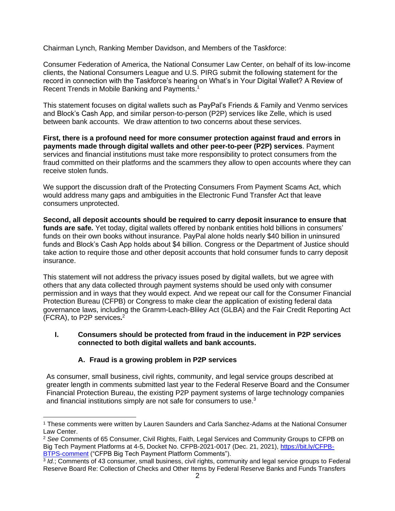Chairman Lynch, Ranking Member Davidson, and Members of the Taskforce:

Consumer Federation of America, the National Consumer Law Center, on behalf of its low-income clients, the National Consumers League and U.S. PIRG submit the following statement for the record in connection with the Taskforce's hearing on What's in Your Digital Wallet? A Review of Recent Trends in Mobile Banking and Payments. 1

This statement focuses on digital wallets such as PayPal's Friends & Family and Venmo services and Block's Cash App, and similar person-to-person (P2P) services like Zelle, which is used between bank accounts. We draw attention to two concerns about these services.

**First, there is a profound need for more consumer protection against fraud and errors in payments made through digital wallets and other peer-to-peer (P2P) services**. Payment services and financial institutions must take more responsibility to protect consumers from the fraud committed on their platforms and the scammers they allow to open accounts where they can receive stolen funds.

We support the discussion draft of the Protecting Consumers From Payment Scams Act, which would address many gaps and ambiguities in the Electronic Fund Transfer Act that leave consumers unprotected.

**Second, all deposit accounts should be required to carry deposit insurance to ensure that funds are safe.** Yet today, digital wallets offered by nonbank entities hold billions in consumers' funds on their own books without insurance. PayPal alone holds nearly \$40 billion in uninsured funds and Block's Cash App holds about \$4 billion. Congress or the Department of Justice should take action to require those and other deposit accounts that hold consumer funds to carry deposit insurance.

This statement will not address the privacy issues posed by digital wallets, but we agree with others that any data collected through payment systems should be used only with consumer permission and in ways that they would expect. And we repeat our call for the Consumer Financial Protection Bureau (CFPB) or Congress to make clear the application of existing federal data governance laws, including the Gramm-Leach-Bliley Act (GLBA) and the Fair Credit Reporting Act (FCRA), to P2P services**.** 2

#### **I. Consumers should be protected from fraud in the inducement in P2P services connected to both digital wallets and bank accounts.**

# **A. Fraud is a growing problem in P2P services**

As consumer, small business, civil rights, community, and legal service groups described at greater length in comments submitted last year to the Federal Reserve Board and the Consumer Financial Protection Bureau, the existing P2P payment systems of large technology companies and financial institutions simply are not safe for consumers to use.<sup>3</sup>

<sup>1</sup> These comments were written by Lauren Saunders and Carla Sanchez-Adams at the National Consumer Law Center.

<sup>2</sup> *See* Comments of 65 Consumer, Civil Rights, Faith, Legal Services and Community Groups to CFPB on Big Tech Payment Platforms at 4-5, Docket No. CFPB-2021-0017 (Dec. 21, 2021), [https://bit.ly/CFPB-](https://bit.ly/CFPB-BTPS-comment)[BTPS-comment](https://bit.ly/CFPB-BTPS-comment) ("CFPB Big Tech Payment Platform Comments").

<sup>3</sup> *Id.*; Comments of 43 consumer, small business, civil rights, community and legal service groups to Federal Reserve Board Re: Collection of Checks and Other Items by Federal Reserve Banks and Funds Transfers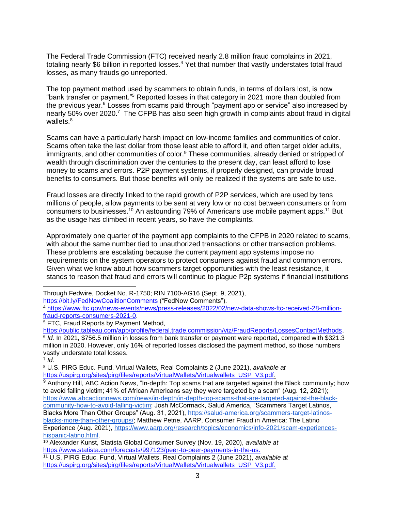The Federal Trade Commission (FTC) received nearly 2.8 million fraud complaints in 2021, totaling nearly \$6 billion in reported losses.<sup>4</sup> Yet that number that vastly understates total fraud losses, as many frauds go unreported.

The top payment method used by scammers to obtain funds, in terms of dollars lost, is now "bank transfer or payment." <sup>5</sup> Reported losses in that category in 2021 more than doubled from the previous year.<sup>6</sup> Losses from scams paid through "payment app or service" also increased by nearly 50% over 2020.<sup>7</sup> The CFPB has also seen high growth in complaints about fraud in digital wallets.<sup>8</sup>

Scams can have a particularly harsh impact on low-income families and communities of color. Scams often take the last dollar from those least able to afford it, and often target older adults, immigrants, and other communities of color.<sup>9</sup> These communities, already denied or stripped of wealth through discrimination over the centuries to the present day, can least afford to lose money to scams and errors. P2P payment systems, if properly designed, can provide broad benefits to consumers. But those benefits will only be realized if the systems are safe to use.

Fraud losses are directly linked to the rapid growth of P2P services, which are used by tens millions of people, allow payments to be sent at very low or no cost between consumers or from consumers to businesses.<sup>10</sup> An astounding 79% of Americans use mobile payment apps.<sup>11</sup> But as the usage has climbed in recent years, so have the complaints.

Approximately one quarter of the payment app complaints to the CFPB in 2020 related to scams, with about the same number tied to unauthorized transactions or other transaction problems. These problems are escalating because the current payment app systems impose no requirements on the system operators to protect consumers against fraud and common errors. Given what we know about how scammers target opportunities with the least resistance, it stands to reason that fraud and errors will continue to plague P2p systems if financial institutions

Through Fedwire, Docket No. R-1750; RIN 7100-AG16 (Sept. 9, 2021),

<https://bit.ly/FedNowCoalitionComments> ("FedNow Comments").

 $5$  FTC, Fraud Reports by Payment Method,

7 *Id.*

<sup>8</sup> U.S. PIRG Educ. Fund, Virtual Wallets, Real Complaints 2 (June 2021), *available at* [https://uspirg.org/sites/pirg/files/reports/VirtualWallets/Virtualwallets\\_USP\\_V3.pdf.](https://uspirg.org/sites/pirg/files/reports/VirtualWallets/Virtualwallets_USP_V3.pdf)

<sup>4</sup> [https://www.ftc.gov/news-events/news/press-releases/2022/02/new-data-shows-ftc-received-28-million](https://www.ftc.gov/news-events/news/press-releases/2022/02/new-data-shows-ftc-received-28-million-fraud-reports-consumers-2021-0)[fraud-reports-consumers-2021-0.](https://www.ftc.gov/news-events/news/press-releases/2022/02/new-data-shows-ftc-received-28-million-fraud-reports-consumers-2021-0)

[https://public.tableau.com/app/profile/federal.trade.commission/viz/FraudReports/LossesContactMethods.](https://public.tableau.com/app/profile/federal.trade.commission/viz/FraudReports/LossesContactMethods) 6 *Id.* In 2021, \$756.5 million in losses from bank transfer or payment were reported, compared with \$321.3 million in 2020. However, only 16% of reported losses disclosed the payment method, so those numbers vastly understate total losses.

 $9$  Anthony Hill, ABC Action News, "In-depth: Top scams that are targeted against the Black community; how to avoid falling victim; 41% of African Americans say they were targeted by a scam" (Aug. 12, 2021); [https://www.abcactionnews.com/news/in-depth/in-depth-top-scams-that-are-targeted-against-the-black](https://www.abcactionnews.com/news/in-depth/in-depth-top-scams-that-are-targeted-against-the-black-community-how-to-avoid-falling-victim)[community-how-to-avoid-falling-victim;](https://www.abcactionnews.com/news/in-depth/in-depth-top-scams-that-are-targeted-against-the-black-community-how-to-avoid-falling-victim) Josh McCormack, Salud America, "Scammers Target Latinos, Blacks More Than Other Groups" (Aug. 31, 2021), [https://salud-america.org/scammers-target-latinos](https://salud-america.org/scammers-target-latinos-blacks-more-than-other-groups/)[blacks-more-than-other-groups/;](https://salud-america.org/scammers-target-latinos-blacks-more-than-other-groups/) Matthew Petrie, AARP, Consumer Fraud in America: The Latino Experience (Aug. 2021), [https://www.aarp.org/research/topics/economics/info-2021/scam-experiences](https://www.aarp.org/research/topics/economics/info-2021/scam-experiences-hispanic-latino.html)[hispanic-latino.html.](https://www.aarp.org/research/topics/economics/info-2021/scam-experiences-hispanic-latino.html)

<sup>10</sup> Alexander Kunst, Statista Global Consumer Survey (Nov. 19, 2020), *available at* [https://www.statista.com/forecasts/997123/peer-to-peer-payments-in-the-us.](https://www.statista.com/forecasts/997123/peer-to-peer-payments-in-the-us)

<sup>11</sup> U.S. PIRG Educ. Fund, Virtual Wallets, Real Complaints 2 (June 2021), *available at* [https://uspirg.org/sites/pirg/files/reports/VirtualWallets/Virtualwallets\\_USP\\_V3.pdf.](https://uspirg.org/sites/pirg/files/reports/VirtualWallets/Virtualwallets_USP_V3.pdf)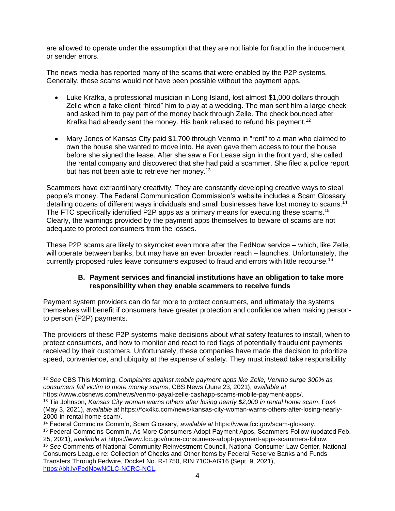are allowed to operate under the assumption that they are not liable for fraud in the inducement or sender errors.

The news media has reported many of the scams that were enabled by the P2P systems. Generally, these scams would not have been possible without the payment apps.

- Luke Krafka, a professional musician in Long Island, lost almost \$1,000 dollars through Zelle when a fake client "hired" him to play at a wedding. The man sent him a large check and asked him to pay part of the money back through Zelle. The check bounced after Krafka had already sent the money. His bank refused to refund his payment.<sup>12</sup>
- Mary Jones of Kansas City paid \$1,700 through Venmo in "rent" to a man who claimed to own the house she wanted to move into. He even gave them access to tour the house before she signed the lease. After she saw a For Lease sign in the front yard, she called the rental company and discovered that she had paid a scammer. She filed a police report but has not been able to retrieve her money.<sup>13</sup>

Scammers have extraordinary creativity. They are constantly developing creative ways to steal people's money. The Federal Communication Commission's website includes a Scam Glossary detailing dozens of different ways individuals and small businesses have lost money to scams.<sup>14</sup> The FTC specifically identified P2P apps as a primary means for executing these scams.<sup>15</sup> Clearly, the warnings provided by the payment apps themselves to beware of scams are not adequate to protect consumers from the losses.

These P2P scams are likely to skyrocket even more after the FedNow service – which, like Zelle, will operate between banks, but may have an even broader reach – launches. Unfortunately, the currently proposed rules leave consumers exposed to fraud and errors with little recourse.<sup>16</sup>

### **B. Payment services and financial institutions have an obligation to take more responsibility when they enable scammers to receive funds**

Payment system providers can do far more to protect consumers, and ultimately the systems themselves will benefit if consumers have greater protection and confidence when making personto person (P2P) payments.

The providers of these P2P systems make decisions about what safety features to install, when to protect consumers, and how to monitor and react to red flags of potentially fraudulent payments received by their customers. Unfortunately, these companies have made the decision to prioritize speed, convenience, and ubiquity at the expense of safety. They must instead take responsibility

<sup>12</sup> *See* CBS This Morning, *Complaints against mobile payment apps like Zelle, Venmo surge 300% as consumers fall victim to more money scams*, CBS News (June 23, 2021), *available at* https://www.cbsnews.com/news/venmo-payal-zelle-cashapp-scams-mobile-payment-apps/.

<sup>13</sup> Tia Johnson, *Kansas City woman warns others after losing nearly \$2,000 in rental home scam*, Fox4 (May 3, 2021), *available at* https://fox4kc.com/news/kansas-city-woman-warns-others-after-losing-nearly-2000-in-rental-home-scam/.

<sup>14</sup> Federal Commc'ns Comm'n, Scam Glossary, *available at* https://www.fcc.gov/scam-glossary. <sup>15</sup> Federal Commc'ns Comm'n, As More Consumers Adopt Payment Apps, Scammers Follow (updated Feb. 25, 2021), *available at* https://www.fcc.gov/more-consumers-adopt-payment-apps-scammers-follow.

<sup>16</sup> *See* Comments of National Community Reinvestment Council, National Consumer Law Center, National Consumers League re: Collection of Checks and Other Items by Federal Reserve Banks and Funds Transfers Through Fedwire, Docket No. R-1750, RIN 7100-AG16 (Sept. 9, 2021), [https://bit.ly/FedNowNCLC-NCRC-NCL.](https://bit.ly/FedNowNCLC-NCRC-NCL)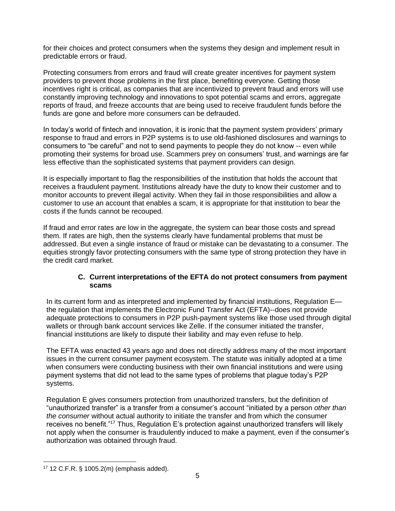for their choices and protect consumers when the systems they design and implement result in predictable errors or fraud.

Protecting consumers from errors and fraud will create greater incentives for payment system providers to prevent those problems in the first place, benefiting everyone. Getting those incentives right is critical, as companies that are incentivized to prevent fraud and errors will use constantly improving technology and innovations to spot potential scams and errors, aggregate reports of fraud, and freeze accounts that are being used to receive fraudulent funds before the funds are gone and before more consumers can be defrauded.

In today's world of fintech and innovation, it is ironic that the payment system providers' primary response to fraud and errors in P2P systems is to use old-fashioned disclosures and warnings to consumers to "be careful" and not to send payments to people they do not know -- even while promoting their systems for broad use. Scammers prey on consumers' trust, and warnings are far less effective than the sophisticated systems that payment providers can design.

It is especially important to flag the responsibilities of the institution that holds the account that receives a fraudulent payment. Institutions already have the duty to know their customer and to monitor accounts to prevent illegal activity. When they fail in those responsibilities and allow a customer to use an account that enables a scam, it is appropriate for that institution to bear the costs if the funds cannot be recouped.

If fraud and error rates are low in the aggregate, the system can bear those costs and spread them. If rates are high, then the systems clearly have fundamental problems that must be addressed. But even a single instance of fraud or mistake can be devastating to a consumer. The equities strongly favor protecting consumers with the same type of strong protection they have in the credit card market.

### **C. Current interpretations of the EFTA do not protect consumers from payment scams**

In its current form and as interpreted and implemented by financial institutions, Regulation Ethe regulation that implements the Electronic Fund Transfer Act (EFTA)--does not provide adequate protections to consumers in P2P push-payment systems like those used through digital wallets or through bank account services like Zelle. If the consumer initiated the transfer, financial institutions are likely to dispute their liability and may even refuse to help.

The EFTA was enacted 43 years ago and does not directly address many of the most important issues in the current consumer payment ecosystem. The statute was initially adopted at a time when consumers were conducting business with their own financial institutions and were using payment systems that did not lead to the same types of problems that plague today's P2P systems.

Regulation E gives consumers protection from unauthorized transfers, but the definition of "unauthorized transfer" is a transfer from a consumer's account "initiated by a person *other than the consumer* without actual authority to initiate the transfer and from which the consumer receives no benefit."<sup>17</sup> Thus, Regulation E's protection against unauthorized transfers will likely not apply when the consumer is fraudulently induced to make a payment, even if the consumer's authorization was obtained through fraud.

<sup>17</sup> 12 C.F.R. § 1005.2(m) (emphasis added).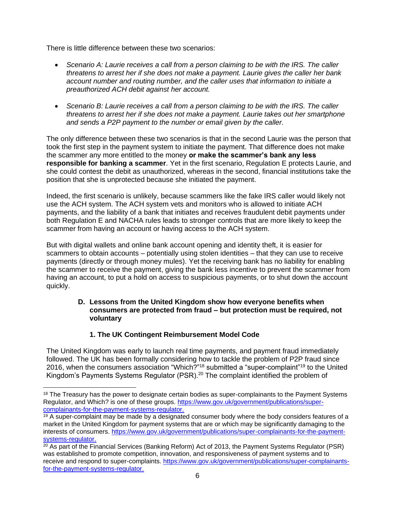There is little difference between these two scenarios:

- *Scenario A: Laurie receives a call from a person claiming to be with the IRS. The caller threatens to arrest her if she does not make a payment. Laurie gives the caller her bank account number and routing number, and the caller uses that information to initiate a preauthorized ACH debit against her account.*
- *Scenario B: Laurie receives a call from a person claiming to be with the IRS. The caller threatens to arrest her if she does not make a payment. Laurie takes out her smartphone and sends a P2P payment to the number or email given by the caller.*

The only difference between these two scenarios is that in the second Laurie was the person that took the first step in the payment system to initiate the payment. That difference does not make the scammer any more entitled to the money **or make the scammer's bank any less responsible for banking a scammer**. Yet in the first scenario, Regulation E protects Laurie, and she could contest the debit as unauthorized, whereas in the second, financial institutions take the position that she is unprotected because she initiated the payment.

Indeed, the first scenario is unlikely, because scammers like the fake IRS caller would likely not use the ACH system. The ACH system vets and monitors who is allowed to initiate ACH payments, and the liability of a bank that initiates and receives fraudulent debit payments under both Regulation E and NACHA rules leads to stronger controls that are more likely to keep the scammer from having an account or having access to the ACH system.

But with digital wallets and online bank account opening and identity theft, it is easier for scammers to obtain accounts – potentially using stolen identities – that they can use to receive payments (directly or through money mules). Yet the receiving bank has no liability for enabling the scammer to receive the payment, giving the bank less incentive to prevent the scammer from having an account, to put a hold on access to suspicious payments, or to shut down the account quickly.

## **D. Lessons from the United Kingdom show how everyone benefits when consumers are protected from fraud – but protection must be required, not voluntary**

# **1. The UK Contingent Reimbursement Model Code**

The United Kingdom was early to launch real time payments, and payment fraud immediately followed. The UK has been formally considering how to tackle the problem of P2P fraud since 2016, when the consumers association "Which?"<sup>18</sup> submitted a "super-complaint"<sup>19</sup> to the United Kingdom's Payments Systems Regulator  $(PSR)<sup>20</sup>$  The complaint identified the problem of

<sup>&</sup>lt;sup>18</sup> The Treasury has the power to designate certain bodies as super-complainants to the Payment Systems Regulator, and Which? is one of these groups. [https://www.gov.uk/government/publications/super](https://www.gov.uk/government/publications/super-complainants-for-the-payment-systems-regulator)[complainants-for-the-payment-systems-regulator.](https://www.gov.uk/government/publications/super-complainants-for-the-payment-systems-regulator)

 $19$  A super-complaint may be made by a designated consumer body where the body considers features of a market in the United Kingdom for payment systems that are or which may be significantly damaging to the interests of consumers. [https://www.gov.uk/government/publications/super-complainants-for-the-payment](https://www.gov.uk/government/publications/super-complainants-for-the-payment-systems-regulator)[systems-regulator.](https://www.gov.uk/government/publications/super-complainants-for-the-payment-systems-regulator)

<sup>&</sup>lt;sup>20</sup> As part of the Financial Services (Banking Reform) Act of 2013, the Payment Systems Regulator (PSR) was established to promote competition, innovation, and responsiveness of payment systems and to receive and respond to super-complaints. [https://www.gov.uk/government/publications/super-complainants](https://www.gov.uk/government/publications/super-complainants-for-the-payment-systems-regulator)[for-the-payment-systems-regulator.](https://www.gov.uk/government/publications/super-complainants-for-the-payment-systems-regulator)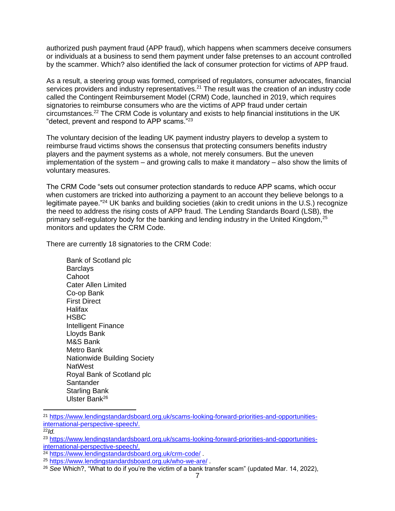authorized push payment fraud (APP fraud), which happens when scammers deceive consumers or individuals at a business to send them payment under false pretenses to an account controlled by the scammer. Which? also identified the lack of consumer protection for victims of APP fraud.

As a result, a steering group was formed, comprised of regulators, consumer advocates, financial services providers and industry representatives.<sup>21</sup> The result was the creation of an industry code called the Contingent Reimbursement Model (CRM) Code, launched in 2019, which requires signatories to reimburse consumers who are the victims of APP fraud under certain circumstances.<sup>22</sup> The CRM Code is voluntary and exists to help financial institutions in the UK "detect, prevent and respond to APP scams."<sup>23</sup>

The voluntary decision of the leading UK payment industry players to develop a system to reimburse fraud victims shows the consensus that protecting consumers benefits industry players and the payment systems as a whole, not merely consumers. But the uneven implementation of the system – and growing calls to make it mandatory – also show the limits of voluntary measures.

The CRM Code "sets out consumer protection standards to reduce APP scams, which occur when customers are tricked into authorizing a payment to an account they believe belongs to a legitimate payee."<sup>24</sup> UK banks and building societies (akin to credit unions in the U.S.) recognize the need to address the rising costs of APP fraud. The Lending Standards Board (LSB), the primary self-regulatory body for the banking and lending industry in the United Kingdom,<sup>25</sup> monitors and updates the CRM Code.

There are currently 18 signatories to the CRM Code:

Bank of Scotland plc **Barclavs Cahoot** Cater Allen Limited Co-op Bank First Direct Halifax **HSBC** Intelligent Finance Lloyds Bank M&S Bank Metro Bank Nationwide Building Society **NatWest** Royal Bank of Scotland plc **Santander** Starling Bank Ulster Bank<sup>26</sup>

<sup>22</sup>*Id.*

<sup>21</sup> [https://www.lendingstandardsboard.org.uk/scams-looking-forward-priorities-and-opportunities](https://www.lendingstandardsboard.org.uk/scams-looking-forward-priorities-and-opportunities-international-perspective-speech/)[international-perspective-speech/.](https://www.lendingstandardsboard.org.uk/scams-looking-forward-priorities-and-opportunities-international-perspective-speech/)

<sup>23</sup> [https://www.lendingstandardsboard.org.uk/scams-looking-forward-priorities-and-opportunities](https://www.lendingstandardsboard.org.uk/scams-looking-forward-priorities-and-opportunities-international-perspective-speech/)[international-perspective-speech/.](https://www.lendingstandardsboard.org.uk/scams-looking-forward-priorities-and-opportunities-international-perspective-speech/)

<sup>24</sup> <https://www.lendingstandardsboard.org.uk/crm-code/> .

<sup>25</sup> <https://www.lendingstandardsboard.org.uk/who-we-are/> .

<sup>26</sup> *See* Which?, "What to do if you're the victim of a bank transfer scam" (updated Mar. 14, 2022),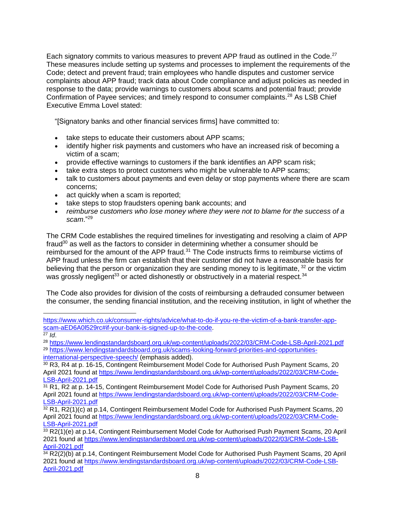Each signatory commits to various measures to prevent APP fraud as outlined in the Code.<sup>27</sup> These measures include setting up systems and processes to implement the requirements of the Code; detect and prevent fraud; train employees who handle disputes and customer service complaints about APP fraud; track data about Code compliance and adjust policies as needed in response to the data; provide warnings to customers about scams and potential fraud; provide Confirmation of Payee services; and timely respond to consumer complaints.<sup>28</sup> As LSB Chief Executive Emma Lovel stated:

"[Signatory banks and other financial services firms] have committed to:

- take steps to educate their customers about APP scams;
- identify higher risk payments and customers who have an increased risk of becoming a victim of a scam;
- provide effective warnings to customers if the bank identifies an APP scam risk;
- take extra steps to protect customers who might be vulnerable to APP scams;
- talk to customers about payments and even delay or stop payments where there are scam concerns;
- act quickly when a scam is reported;
- take steps to stop fraudsters opening bank accounts; and
- *reimburse customers who lose money where they were not to blame for the success of a scam*."<sup>29</sup>

The CRM Code establishes the required timelines for investigating and resolving a claim of APP fraud $30$  as well as the factors to consider in determining whether a consumer should be reimbursed for the amount of the APP fraud.<sup>31</sup> The Code instructs firms to reimburse victims of APP fraud unless the firm can establish that their customer did not have a reasonable basis for believing that the person or organization they are sending money to is legitimate,  $32$  or the victim was grossly negligent<sup>33</sup> or acted dishonestly or obstructively in a material respect.<sup>34</sup>

The Code also provides for division of the costs of reimbursing a defrauded consumer between the consumer, the sending financial institution, and the receiving institution, in light of whether the

[https://www.which.co.uk/consumer-rights/advice/what-to-do-if-you-re-the-victim-of-a-bank-transfer-app](https://www.which.co.uk/consumer-rights/advice/what-to-do-if-you-re-the-victim-of-a-bank-transfer-app-scam-aED6A0l529rc#if-your-bank-is-signed-up-to-the-code)[scam-aED6A0l529rc#if-your-bank-is-signed-up-to-the-code.](https://www.which.co.uk/consumer-rights/advice/what-to-do-if-you-re-the-victim-of-a-bank-transfer-app-scam-aED6A0l529rc#if-your-bank-is-signed-up-to-the-code)

<sup>27</sup> *Id*.

<sup>28</sup> <https://www.lendingstandardsboard.org.uk/wp-content/uploads/2022/03/CRM-Code-LSB-April-2021.pdf> <sup>29</sup> [https://www.lendingstandardsboard.org.uk/scams-looking-forward-priorities-and-opportunities](https://www.lendingstandardsboard.org.uk/scams-looking-forward-priorities-and-opportunities-international-perspective-speech/)[international-perspective-speech/](https://www.lendingstandardsboard.org.uk/scams-looking-forward-priorities-and-opportunities-international-perspective-speech/) (emphasis added).

<sup>30</sup> R3, R4 at p. 16-15, Contingent Reimbursement Model Code for Authorised Push Payment Scams, 20 April 2021 found at [https://www.lendingstandardsboard.org.uk/wp-content/uploads/2022/03/CRM-Code-](https://www.lendingstandardsboard.org.uk/wp-content/uploads/2022/03/CRM-Code-LSB-April-2021.pdf)[LSB-April-2021.pdf](https://www.lendingstandardsboard.org.uk/wp-content/uploads/2022/03/CRM-Code-LSB-April-2021.pdf)

<sup>&</sup>lt;sup>31</sup> R1, R2 at p. 14-15, Contingent Reimbursement Model Code for Authorised Push Payment Scams, 20 April 2021 found at [https://www.lendingstandardsboard.org.uk/wp-content/uploads/2022/03/CRM-Code-](https://www.lendingstandardsboard.org.uk/wp-content/uploads/2022/03/CRM-Code-LSB-April-2021.pdf)[LSB-April-2021.pdf](https://www.lendingstandardsboard.org.uk/wp-content/uploads/2022/03/CRM-Code-LSB-April-2021.pdf)

<sup>32</sup> R1, R2(1)(c) at p.14, Contingent Reimbursement Model Code for Authorised Push Payment Scams, 20 April 2021 found at [https://www.lendingstandardsboard.org.uk/wp-content/uploads/2022/03/CRM-Code-](https://www.lendingstandardsboard.org.uk/wp-content/uploads/2022/03/CRM-Code-LSB-April-2021.pdf)[LSB-April-2021.pdf](https://www.lendingstandardsboard.org.uk/wp-content/uploads/2022/03/CRM-Code-LSB-April-2021.pdf)

<sup>33</sup> R2(1)(e) at p.14, Contingent Reimbursement Model Code for Authorised Push Payment Scams, 20 April 2021 found at [https://www.lendingstandardsboard.org.uk/wp-content/uploads/2022/03/CRM-Code-LSB-](https://www.lendingstandardsboard.org.uk/wp-content/uploads/2022/03/CRM-Code-LSB-April-2021.pdf)[April-2021.pdf](https://www.lendingstandardsboard.org.uk/wp-content/uploads/2022/03/CRM-Code-LSB-April-2021.pdf)

 $34$  R2(2)(b) at p.14, Contingent Reimbursement Model Code for Authorised Push Payment Scams, 20 April 2021 found at [https://www.lendingstandardsboard.org.uk/wp-content/uploads/2022/03/CRM-Code-LSB-](https://www.lendingstandardsboard.org.uk/wp-content/uploads/2022/03/CRM-Code-LSB-April-2021.pdf)[April-2021.pdf](https://www.lendingstandardsboard.org.uk/wp-content/uploads/2022/03/CRM-Code-LSB-April-2021.pdf)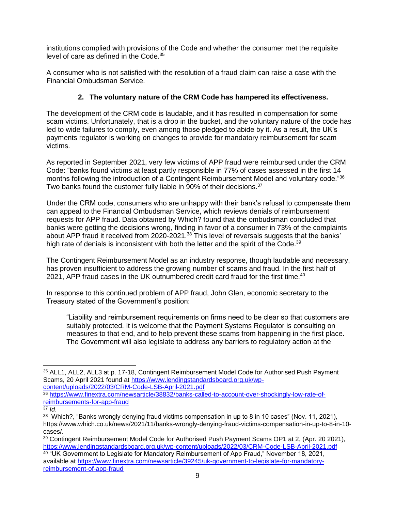institutions complied with provisions of the Code and whether the consumer met the requisite level of care as defined in the Code.<sup>35</sup>

A consumer who is not satisfied with the resolution of a fraud claim can raise a case with the Financial Ombudsman Service.

# **2. The voluntary nature of the CRM Code has hampered its effectiveness.**

The development of the CRM code is laudable, and it has resulted in compensation for some scam victims. Unfortunately, that is a drop in the bucket, and the voluntary nature of the code has led to wide failures to comply, even among those pledged to abide by it. As a result, the UK's payments regulator is working on changes to provide for mandatory reimbursement for scam victims.

As reported in September 2021, very few victims of APP fraud were reimbursed under the CRM Code: "banks found victims at least partly responsible in 77% of cases assessed in the first 14 months following the introduction of a Contingent Reimbursement Model and voluntary code."36 Two banks found the customer fully liable in 90% of their decisions.<sup>37</sup>

Under the CRM code, consumers who are unhappy with their bank's refusal to compensate them can appeal to the Financial Ombudsman Service, which reviews denials of reimbursement requests for APP fraud. Data obtained by Which? found that the ombudsman concluded that banks were getting the decisions wrong, finding in favor of a consumer in 73% of the complaints about APP fraud it received from 2020-2021.<sup>38</sup> This level of reversals suggests that the banks' high rate of denials is inconsistent with both the letter and the spirit of the Code.<sup>39</sup>

The Contingent Reimbursement Model as an industry response, though laudable and necessary, has proven insufficient to address the growing number of scams and fraud. In the first half of 2021, APP fraud cases in the UK outnumbered credit card fraud for the first time.<sup>40</sup>

In response to this continued problem of APP fraud, John Glen, economic secretary to the Treasury stated of the Government's position:

"Liability and reimbursement requirements on firms need to be clear so that customers are suitably protected. It is welcome that the Payment Systems Regulator is consulting on measures to that end, and to help prevent these scams from happening in the first place. The Government will also legislate to address any barriers to regulatory action at the

<sup>35</sup> ALL1, ALL2, ALL3 at p. 17-18, Contingent Reimbursement Model Code for Authorised Push Payment Scams, 20 April 2021 found at [https://www.lendingstandardsboard.org.uk/wp](https://www.lendingstandardsboard.org.uk/wp-content/uploads/2022/03/CRM-Code-LSB-April-2021.pdf)[content/uploads/2022/03/CRM-Code-LSB-April-2021.pdf](https://www.lendingstandardsboard.org.uk/wp-content/uploads/2022/03/CRM-Code-LSB-April-2021.pdf)

<sup>36</sup> [https://www.finextra.com/newsarticle/38832/banks-called-to-account-over-shockingly-low-rate-of](https://www.finextra.com/newsarticle/38832/banks-called-to-account-over-shockingly-low-rate-of-reimbursements-for-app-fraud)[reimbursements-for-app-fraud](https://www.finextra.com/newsarticle/38832/banks-called-to-account-over-shockingly-low-rate-of-reimbursements-for-app-fraud)

<sup>37</sup> *Id*.

 $38$  Which?, "Banks wrongly denying fraud victims compensation in up to 8 in 10 cases" (Nov. 11, 2021), https://www.which.co.uk/news/2021/11/banks-wrongly-denying-fraud-victims-compensation-in-up-to-8-in-10 cases/.

<sup>39</sup> Contingent Reimbursement Model Code for Authorised Push Payment Scams OP1 at 2, (Apr. 20 2021), <https://www.lendingstandardsboard.org.uk/wp-content/uploads/2022/03/CRM-Code-LSB-April-2021.pdf>

 $^{40}$  "UK Government to Legislate for Mandatory Reimbursement of App Fraud," November 18, 2021, available at [https://www.finextra.com/newsarticle/39245/uk-government-to-legislate-for-mandatory](https://www.finextra.com/newsarticle/39245/uk-government-to-legislate-for-mandatory-reimbursement-of-app-fraud)[reimbursement-of-app-fraud](https://www.finextra.com/newsarticle/39245/uk-government-to-legislate-for-mandatory-reimbursement-of-app-fraud)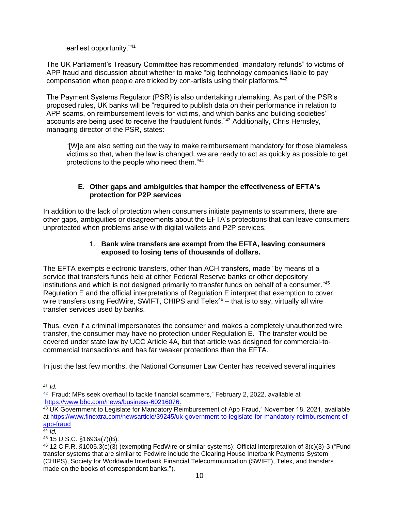earliest opportunity."<sup>41</sup>

The UK Parliament's Treasury Committee has recommended "mandatory refunds" to victims of APP fraud and discussion about whether to make "big technology companies liable to pay compensation when people are tricked by con-artists using their platforms."<sup>42</sup>

The Payment Systems Regulator (PSR) is also undertaking rulemaking. As part of the PSR's proposed rules, UK banks will be "required to publish data on their performance in relation to APP scams, on reimbursement levels for victims, and which banks and building societies' accounts are being used to receive the fraudulent funds."<sup>43</sup> Additionally, Chris Hemsley, managing director of the PSR, states:

"[W]e are also setting out the way to make reimbursement mandatory for those blameless victims so that, when the law is changed, we are ready to act as quickly as possible to get protections to the people who need them."<sup>44</sup>

# **E. Other gaps and ambiguities that hamper the effectiveness of EFTA's protection for P2P services**

In addition to the lack of protection when consumers initiate payments to scammers, there are other gaps, ambiguities or disagreements about the EFTA's protections that can leave consumers unprotected when problems arise with digital wallets and P2P services.

## 1. **Bank wire transfers are exempt from the EFTA, leaving consumers exposed to losing tens of thousands of dollars.**

The EFTA exempts electronic transfers, other than ACH transfers, made "by means of a service that transfers funds held at either Federal Reserve banks or other depository institutions and which is not designed primarily to transfer funds on behalf of a consumer."<sup>45</sup> Regulation E and the official interpretations of Regulation E interpret that exemption to cover wire transfers using FedWire, SWIFT, CHIPS and Telex<sup>46</sup> – that is to say, virtually all wire transfer services used by banks.

Thus, even if a criminal impersonates the consumer and makes a completely unauthorized wire transfer, the consumer may have no protection under Regulation E. The transfer would be covered under state law by UCC Article 4A, but that article was designed for commercial-tocommercial transactions and has far weaker protections than the EFTA.

In just the last few months, the National Consumer Law Center has received several inquiries

<sup>41</sup> *Id*.

 $^{42}$  "Fraud: MPs seek overhaul to tackle financial scammers," February 2, 2022, available at [https://www.bbc.com/news/business-60216076.](https://www.bbc.com/news/business-60216076)

<sup>43</sup> UK Government to Legislate for Mandatory Reimbursement of App Fraud," November 18, 2021, available at [https://www.finextra.com/newsarticle/39245/uk-government-to-legislate-for-mandatory-reimbursement-of](https://www.finextra.com/newsarticle/39245/uk-government-to-legislate-for-mandatory-reimbursement-of-app-fraud)[app-fraud](https://www.finextra.com/newsarticle/39245/uk-government-to-legislate-for-mandatory-reimbursement-of-app-fraud)

 $44$   $\overline{1}$ *d*.

<sup>45</sup> 15 U.S.C. §1693a(7)(B).

<sup>46</sup> 12 C.F.R. §1005.3(c)(3) (exempting FedWire or similar systems); Official Interpretation of 3(c)(3)-3 ("Fund transfer systems that are similar to Fedwire include the Clearing House Interbank Payments System (CHIPS), Society for Worldwide Interbank Financial Telecommunication (SWIFT), Telex, and transfers made on the books of correspondent banks.").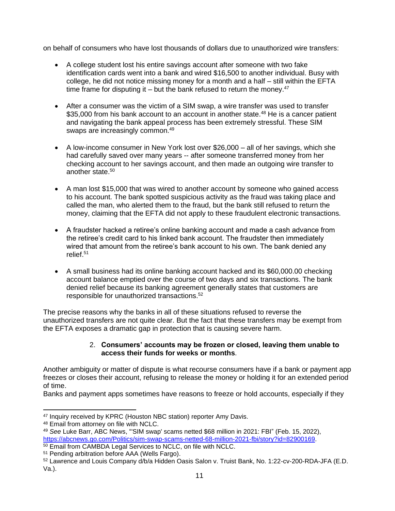on behalf of consumers who have lost thousands of dollars due to unauthorized wire transfers:

- A college student lost his entire savings account after someone with two fake identification cards went into a bank and wired \$16,500 to another individual. Busy with college, he did not notice missing money for a month and a half – still within the EFTA time frame for disputing it – but the bank refused to return the money.<sup>47</sup>
- After a consumer was the victim of a SIM swap, a wire transfer was used to transfer \$35,000 from his bank account to an account in another state.<sup>48</sup> He is a cancer patient and navigating the bank appeal process has been extremely stressful. These SIM swaps are increasingly common.<sup>49</sup>
- A low-income consumer in New York lost over \$26,000 all of her savings, which she had carefully saved over many years -- after someone transferred money from her checking account to her savings account, and then made an outgoing wire transfer to another state.<sup>50</sup>
- A man lost \$15,000 that was wired to another account by someone who gained access to his account. The bank spotted suspicious activity as the fraud was taking place and called the man, who alerted them to the fraud, but the bank still refused to return the money, claiming that the EFTA did not apply to these fraudulent electronic transactions.
- A fraudster hacked a retiree's online banking account and made a cash advance from the retiree's credit card to his linked bank account. The fraudster then immediately wired that amount from the retiree's bank account to his own. The bank denied any relief. 51
- A small business had its online banking account hacked and its \$60,000.00 checking account balance emptied over the course of two days and six transactions. The bank denied relief because its banking agreement generally states that customers are responsible for unauthorized transactions.<sup>52</sup>

The precise reasons why the banks in all of these situations refused to reverse the unauthorized transfers are not quite clear. But the fact that these transfers may be exempt from the EFTA exposes a dramatic gap in protection that is causing severe harm.

## 2. **Consumers' accounts may be frozen or closed, leaving them unable to access their funds for weeks or months**.

Another ambiguity or matter of dispute is what recourse consumers have if a bank or payment app freezes or closes their account, refusing to release the money or holding it for an extended period of time.

Banks and payment apps sometimes have reasons to freeze or hold accounts, especially if they

<sup>&</sup>lt;sup>47</sup> Inquiry received by KPRC (Houston NBC station) reporter Amy Davis.

<sup>48</sup> Email from attorney on file with NCLC.

<sup>49</sup> *See* Luke Barr, ABC News, "'SIM swap' scams netted \$68 million in 2021: FBI" (Feb. 15, 2022), [https://abcnews.go.com/Politics/sim-swap-scams-netted-68-million-2021-fbi/story?id=82900169.](https://abcnews.go.com/Politics/sim-swap-scams-netted-68-million-2021-fbi/story?id=82900169)

<sup>&</sup>lt;sup>50</sup> Email from CAMBDA Legal Services to NCLC, on file with NCLC.

<sup>51</sup> Pending arbitration before AAA (Wells Fargo).

<sup>52</sup> Lawrence and Louis Company d/b/a Hidden Oasis Salon v. Truist Bank, No. 1:22-cv-200-RDA-JFA (E.D. Va.).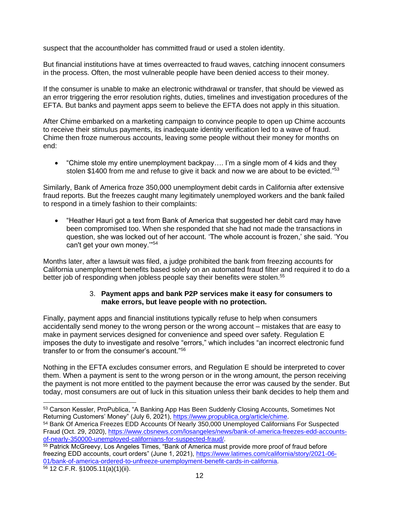suspect that the accountholder has committed fraud or used a stolen identity.

But financial institutions have at times overreacted to fraud waves, catching innocent consumers in the process. Often, the most vulnerable people have been denied access to their money.

If the consumer is unable to make an electronic withdrawal or transfer, that should be viewed as an error triggering the error resolution rights, duties, timelines and investigation procedures of the EFTA. But banks and payment apps seem to believe the EFTA does not apply in this situation.

After Chime embarked on a marketing campaign to convince people to open up Chime accounts to receive their stimulus payments, its inadequate identity verification led to a wave of fraud. Chime then froze numerous accounts, leaving some people without their money for months on end:

• "Chime stole my entire unemployment backpay…. I'm a single mom of 4 kids and they stolen \$1400 from me and refuse to give it back and now we are about to be evicted."<sup>53</sup>

Similarly, Bank of America froze 350,000 unemployment debit cards in California after extensive fraud reports. But the freezes caught many legitimately unemployed workers and the bank failed to respond in a timely fashion to their complaints:

• "Heather Hauri got a text from Bank of America that suggested her debit card may have been compromised too. When she responded that she had not made the transactions in question, she was locked out of her account. 'The whole account is frozen,' she said. 'You can't get your own money.'"<sup>54</sup>

Months later, after a lawsuit was filed, a judge prohibited the bank from freezing accounts for California unemployment benefits based solely on an automated fraud filter and required it to do a better job of responding when jobless people say their benefits were stolen.<sup>55</sup>

### 3. **Payment apps and bank P2P services make it easy for consumers to make errors, but leave people with no protection.**

Finally, payment apps and financial institutions typically refuse to help when consumers accidentally send money to the wrong person or the wrong account – mistakes that are easy to make in payment services designed for convenience and speed over safety. Regulation E imposes the duty to investigate and resolve "errors," which includes "an incorrect electronic fund transfer to or from the consumer's account."<sup>56</sup>

Nothing in the EFTA excludes consumer errors, and Regulation E should be interpreted to cover them. When a payment is sent to the wrong person or in the wrong amount, the person receiving the payment is not more entitled to the payment because the error was caused by the sender. But today, most consumers are out of luck in this situation unless their bank decides to help them and

<sup>53</sup> Carson Kessler, ProPublica, "A Banking App Has Been Suddenly Closing Accounts, Sometimes Not Returning Customers' Money" (July 6, 2021), [https://www.propublica.org/article/chime.](https://www.propublica.org/article/chime)

<sup>54</sup> Bank Of America Freezes EDD Accounts Of Nearly 350,000 Unemployed Californians For Suspected Fraud (Oct. 29, 2020), [https://www.cbsnews.com/losangeles/news/bank-of-america-freezes-edd-accounts](https://www.cbsnews.com/losangeles/news/bank-of-america-freezes-edd-accounts-of-nearly-350000-unemployed-californians-for-suspected-fraud/)[of-nearly-350000-unemployed-californians-for-suspected-fraud/.](https://www.cbsnews.com/losangeles/news/bank-of-america-freezes-edd-accounts-of-nearly-350000-unemployed-californians-for-suspected-fraud/)

<sup>55</sup> Patrick McGreevy, Los Angeles Times, "Bank of America must provide more proof of fraud before freezing EDD accounts, court orders" (June 1, 2021), [https://www.latimes.com/california/story/2021-06-](https://www.latimes.com/california/story/2021-06-01/bank-of-america-ordered-to-unfreeze-unemployment-benefit-cards-in-california) [01/bank-of-america-ordered-to-unfreeze-unemployment-benefit-cards-in-california.](https://www.latimes.com/california/story/2021-06-01/bank-of-america-ordered-to-unfreeze-unemployment-benefit-cards-in-california)

<sup>56</sup> 12 C.F.R. §1005.11(a)(1)(ii).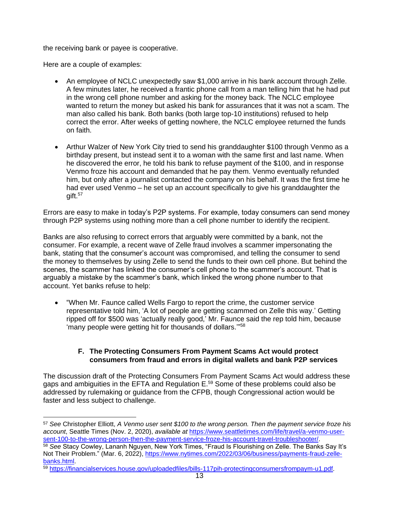the receiving bank or payee is cooperative.

Here are a couple of examples:

- An employee of NCLC unexpectedly saw \$1,000 arrive in his bank account through Zelle. A few minutes later, he received a frantic phone call from a man telling him that he had put in the wrong cell phone number and asking for the money back. The NCLC employee wanted to return the money but asked his bank for assurances that it was not a scam. The man also called his bank. Both banks (both large top-10 institutions) refused to help correct the error. After weeks of getting nowhere, the NCLC employee returned the funds on faith.
- Arthur Walzer of New York City tried to send his granddaughter \$100 through Venmo as a birthday present, but instead sent it to a woman with the same first and last name. When he discovered the error, he told his bank to refuse payment of the \$100, and in response Venmo froze his account and demanded that he pay them. Venmo eventually refunded him, but only after a journalist contacted the company on his behalf. It was the first time he had ever used Venmo – he set up an account specifically to give his granddaughter the gift.<sup>57</sup>

Errors are easy to make in today's P2P systems. For example, today consumers can send money through P2P systems using nothing more than a cell phone number to identify the recipient.

Banks are also refusing to correct errors that arguably were committed by a bank, not the consumer. For example, a recent wave of Zelle fraud involves a scammer impersonating the bank, stating that the consumer's account was compromised, and telling the consumer to send the money to themselves by using Zelle to send the funds to their own cell phone. But behind the scenes, the scammer has linked the consumer's cell phone to the scammer's account. That is arguably a mistake by the scammer's bank, which linked the wrong phone number to that account. Yet banks refuse to help:

• "When Mr. Faunce called Wells Fargo to report the crime, the customer service representative told him, 'A lot of people are getting scammed on Zelle this way.' Getting ripped off for \$500 was 'actually really good,' Mr. Faunce said the rep told him, because 'many people were getting hit for thousands of dollars.'" 58

## **F. The Protecting Consumers From Payment Scams Act would protect consumers from fraud and errors in digital wallets and bank P2P services**

The discussion draft of the Protecting Consumers From Payment Scams Act would address these gaps and ambiguities in the EFTA and Regulation E.<sup>59</sup> Some of these problems could also be addressed by rulemaking or guidance from the CFPB, though Congressional action would be faster and less subject to challenge.

<sup>57</sup> *See* Christopher Elliott, *A Venmo user sent \$100 to the wrong person. Then the payment service froze his account*, Seattle Times (Nov. 2, 2020), *available at* [https://www.seattletimes.com/life/travel/a-venmo-user](https://www.seattletimes.com/life/travel/a-venmo-user-sent-100-to-the-wrong-person-then-the-payment-service-froze-his-account-travel-troubleshooter/)[sent-100-to-the-wrong-person-then-the-payment-service-froze-his-account-travel-troubleshooter/.](https://www.seattletimes.com/life/travel/a-venmo-user-sent-100-to-the-wrong-person-then-the-payment-service-froze-his-account-travel-troubleshooter/)

<sup>58</sup> *See* Stacy Cowley, Lananh Nguyen, New York Times, "Fraud Is Flourishing on Zelle. The Banks Say It's Not Their Problem." (Mar. 6, 2022), [https://www.nytimes.com/2022/03/06/business/payments-fraud-zelle](https://www.nytimes.com/2022/03/06/business/payments-fraud-zelle-banks.html)[banks.html.](https://www.nytimes.com/2022/03/06/business/payments-fraud-zelle-banks.html) 

<sup>59</sup> [https://financialservices.house.gov/uploadedfiles/bills-117pih-protectingconsumersfrompaym-u1.pdf.](https://financialservices.house.gov/uploadedfiles/bills-117pih-protectingconsumersfrompaym-u1.pdf)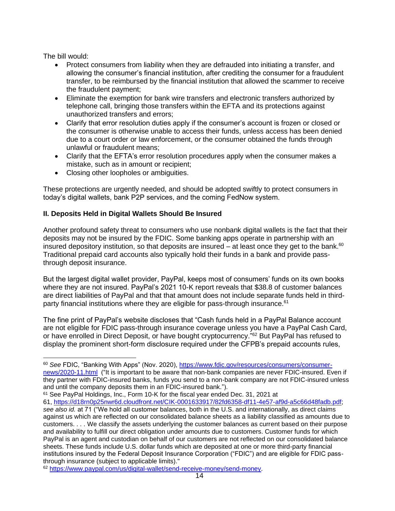The bill would:

- Protect consumers from liability when they are defrauded into initiating a transfer, and allowing the consumer's financial institution, after crediting the consumer for a fraudulent transfer, to be reimbursed by the financial institution that allowed the scammer to receive the fraudulent payment;
- Eliminate the exemption for bank wire transfers and electronic transfers authorized by telephone call, bringing those transfers within the EFTA and its protections against unauthorized transfers and errors;
- Clarify that error resolution duties apply if the consumer's account is frozen or closed or the consumer is otherwise unable to access their funds, unless access has been denied due to a court order or law enforcement, or the consumer obtained the funds through unlawful or fraudulent means;
- Clarify that the EFTA's error resolution procedures apply when the consumer makes a mistake, such as in amount or recipient;
- Closing other loopholes or ambiguities.

These protections are urgently needed, and should be adopted swiftly to protect consumers in today's digital wallets, bank P2P services, and the coming FedNow system.

## **II. Deposits Held in Digital Wallets Should Be Insured**

Another profound safety threat to consumers who use nonbank digital wallets is the fact that their deposits may not be insured by the FDIC. Some banking apps operate in partnership with an insured depository institution, so that deposits are insured  $-$  at least once they get to the bank.<sup>60</sup> Traditional prepaid card accounts also typically hold their funds in a bank and provide passthrough deposit insurance.

But the largest digital wallet provider, PayPal, keeps most of consumers' funds on its own books where they are not insured. PayPal's 2021 10-K report reveals that \$38.8 of customer balances are direct liabilities of PayPal and that that amount does not include separate funds held in thirdparty financial institutions where they are eligible for pass-through insurance.<sup>61</sup>

The fine print of PayPal's website discloses that "Cash funds held in a PayPal Balance account are not eligible for FDIC pass-through insurance coverage unless you have a PayPal Cash Card, or have enrolled in Direct Deposit, or have bought cryptocurrency."<sup>62</sup> But PayPal has refused to display the prominent short-form disclosure required under the CFPB's prepaid accounts rules,

<sup>60</sup> *See* FDIC, "Banking With Apps" (Nov. 2020), [https://www.fdic.gov/resources/consumers/consumer](https://www.fdic.gov/resources/consumers/consumer-news/2020-11.html)[news/2020-11.html](https://www.fdic.gov/resources/consumers/consumer-news/2020-11.html) ("It is important to be aware that non-bank companies are never FDIC-insured. Even if they partner with FDIC-insured banks, funds you send to a non-bank company are not FDIC-insured unless and until the company deposits them in an FDIC-insured bank.").

<sup>61</sup> See PayPal Holdings, Inc., Form 10-K for the fiscal year ended Dec. 31, 2021 at 61, [https://d18rn0p25nwr6d.cloudfront.net/CIK-0001633917/82fd6358-df11-4e57-af9d-a5c66d48fadb.pdf;](https://d18rn0p25nwr6d.cloudfront.net/CIK-0001633917/82fd6358-df11-4e57-af9d-a5c66d48fadb.pdf) *see also id.* at 71 ("We hold all customer balances, both in the U.S. and internationally, as direct claims against us which are reflected on our consolidated balance sheets as a liability classified as amounts due to customers. . . . We classify the assets underlying the customer balances as current based on their purpose and availability to fulfill our direct obligation under amounts due to customers. Customer funds for which PayPal is an agent and custodian on behalf of our customers are not reflected on our consolidated balance sheets. These funds include U.S. dollar funds which are deposited at one or more third-party financial institutions insured by the Federal Deposit Insurance Corporation ("FDIC") and are eligible for FDIC passthrough insurance (subject to applicable limits)."

<sup>62</sup> [https://www.paypal.com/us/digital-wallet/send-receive-money/send-money.](https://www.paypal.com/us/digital-wallet/send-receive-money/send-money)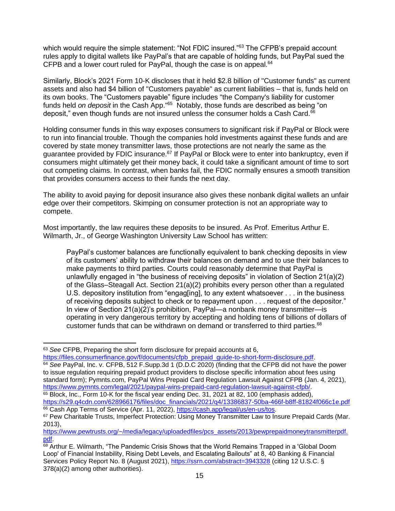which would require the simple statement: "Not FDIC insured."<sup>63</sup> The CFPB's prepaid account rules apply to digital wallets like PayPal's that are capable of holding funds, but PayPal sued the CFPB and a lower court ruled for PayPal, though the case is on appeal.<sup>64</sup>

Similarly, Block's 2021 Form 10-K discloses that it held \$2.8 billion of "Customer funds" as current assets and also had \$4 billion of "Customers payable" as current liabilities – that is, funds held on its own books. The "Customers payable" figure includes "the Company's liability for customer funds held *on deposit* in the Cash App."<sup>65</sup> Notably, those funds are described as being "on deposit," even though funds are not insured unless the consumer holds a Cash Card.<sup>66</sup>

Holding consumer funds in this way exposes consumers to significant risk if PayPal or Block were to run into financial trouble. Though the companies hold investments against these funds and are covered by state money transmitter laws, those protections are not nearly the same as the guarantee provided by FDIC insurance.<sup>67</sup> If PayPal or Block were to enter into bankruptcy, even if consumers might ultimately get their money back, it could take a significant amount of time to sort out competing claims. In contrast, when banks fail, the FDIC normally ensures a smooth transition that provides consumers access to their funds the next day.

The ability to avoid paying for deposit insurance also gives these nonbank digital wallets an unfair edge over their competitors. Skimping on consumer protection is not an appropriate way to compete.

Most importantly, the law requires these deposits to be insured. As Prof. Emeritus Arthur E. Wilmarth, Jr., of George Washington University Law School has written:

PayPal's customer balances are functionally equivalent to bank checking deposits in view of its customers' ability to withdraw their balances on demand and to use their balances to make payments to third parties. Courts could reasonably determine that PayPal is unlawfully engaged in "the business of receiving deposits" in violation of Section 21(a)(2) of the Glass–Steagall Act. Section 21(a)(2) prohibits every person other than a regulated U.S. depository institution from "engag[ing], to any extent whatsoever . . . in the business of receiving deposits subject to check or to repayment upon . . . request of the depositor." In view of Section 21(a)(2)'s prohibition, PayPal—a nonbank money transmitter—is operating in very dangerous territory by accepting and holding tens of billions of dollars of customer funds that can be withdrawn on demand or transferred to third parties. $68$ 

<sup>64</sup> *See* PayPal, Inc. v. CFPB, 512 F.Supp.3d 1 (D.D.C 2020) (finding that the CFPB did not have the power to issue regulation requiring prepaid product providers to disclose specific information about fees using standard form); Pymnts.com, PayPal Wins Prepaid Card Regulation Lawsuit Against CFPB (Jan. 4, 2021), [https://www.pymnts.com/legal/2021/paypal-wins-prepaid-card-regulation-lawsuit-against-cfpb/.](https://www.pymnts.com/legal/2021/paypal-wins-prepaid-card-regulation-lawsuit-against-cfpb/) <sup>65</sup> Block, Inc., Form 10-K for the fiscal year ending Dec. 31, 2021 at 82, 100 (emphasis added),

[https://s29.q4cdn.com/628966176/files/doc\\_financials/2021/q4/13386837-50ba-466f-b8ff-81824f066c1e.pdf](https://s29.q4cdn.com/628966176/files/doc_financials/2021/q4/13386837-50ba-466f-b8ff-81824f066c1e.pdf) 66 Cash App Terms of Service (Apr. 11, 2022), [https://cash.app/legal/us/en-us/tos.](https://cash.app/legal/us/en-us/tos)

<sup>63</sup> *See* CFPB, Preparing the short form disclosure for prepaid accounts at 6, [https://files.consumerfinance.gov/f/documents/cfpb\\_prepaid\\_guide-to-short-form-disclosure.pdf.](https://files.consumerfinance.gov/f/documents/cfpb_prepaid_guide-to-short-form-disclosure.pdf)

<sup>67</sup> Pew Charitable Trusts, Imperfect Protection: Using Money Transmitter Law to Insure Prepaid Cards (Mar. 2013),

[https://www.pewtrusts.org/~/media/legacy/uploadedfiles/pcs\\_assets/2013/pewprepaidmoneytransmitterpdf.](https://www.pewtrusts.org/~/media/legacy/uploadedfiles/pcs_assets/2013/pewprepaidmoneytransmitterpdf.pdf) [pdf.](https://www.pewtrusts.org/~/media/legacy/uploadedfiles/pcs_assets/2013/pewprepaidmoneytransmitterpdf.pdf)

<sup>68</sup> Arthur E. Wilmarth, "The Pandemic Crisis Shows that the World Remains Trapped in a 'Global Doom Loop' of Financial Instability, Rising Debt Levels, and Escalating Bailouts" at 8, 40 Banking & Financial Services Policy Report No. 8 (August 2021), <https://ssrn.com/abstract=3943328> (citing 12 U.S.C. § 378(a)(2) among other authorities).